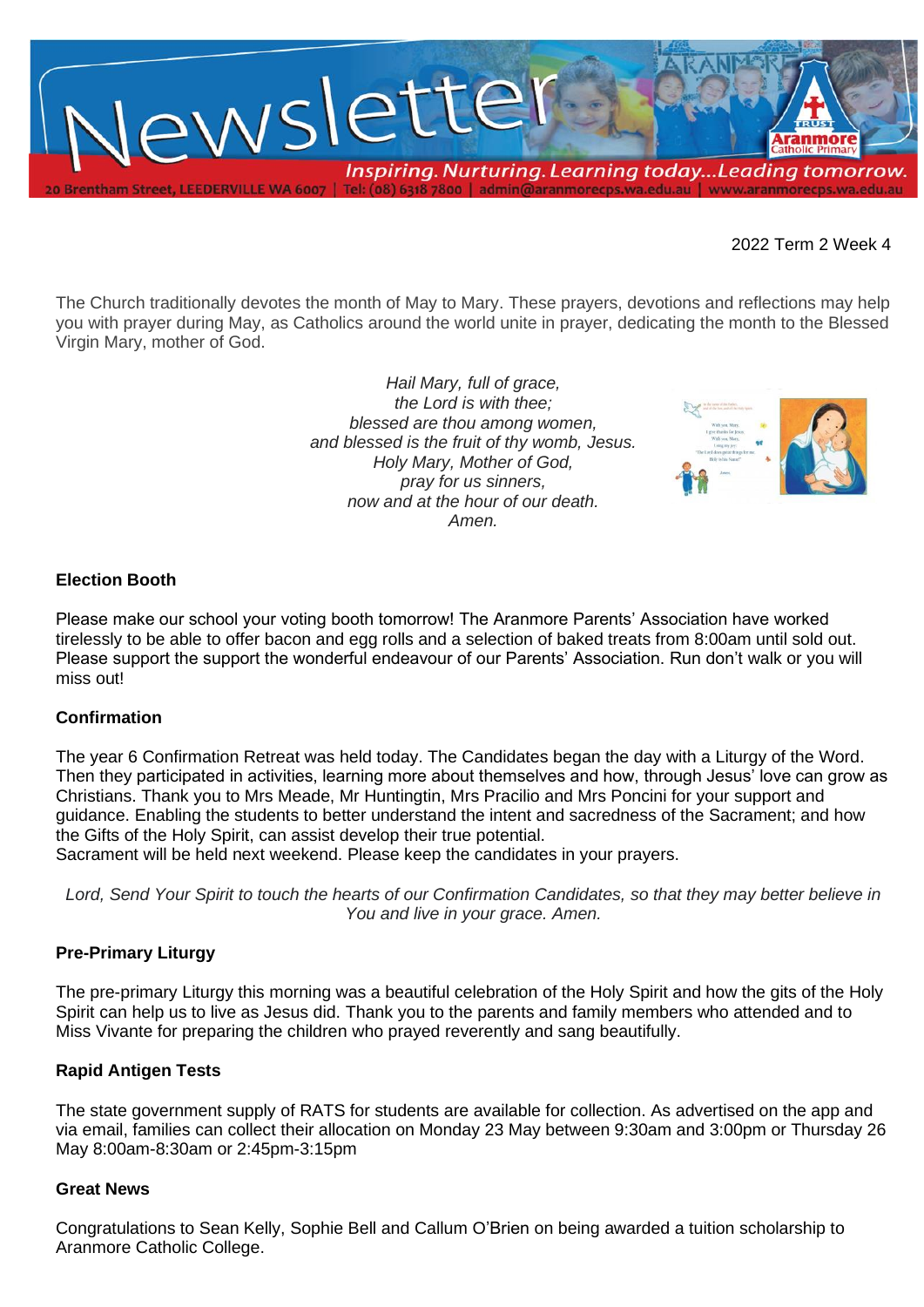

2022 Term 2 Week 4

The Church traditionally devotes the month of May to Mary. These prayers, devotions and reflections may help you with prayer during May, as Catholics around the world unite in prayer, dedicating the month to the Blessed Virgin Mary, mother of God.

> *Hail Mary, full of grace, the Lord is with thee; blessed are thou among women, and blessed is the fruit of thy womb, Jesus. Holy Mary, Mother of God, pray for us sinners, now and at the hour of our death. Amen.*



### **Election Booth**

Please make our school your voting booth tomorrow! The Aranmore Parents' Association have worked tirelessly to be able to offer bacon and egg rolls and a selection of baked treats from 8:00am until sold out. Please support the support the wonderful endeavour of our Parents' Association. Run don't walk or you will miss out!

#### **Confirmation**

The year 6 Confirmation Retreat was held today. The Candidates began the day with a Liturgy of the Word. Then they participated in activities, learning more about themselves and how, through Jesus' love can grow as Christians. Thank you to Mrs Meade, Mr Huntingtin, Mrs Pracilio and Mrs Poncini for your support and guidance. Enabling the students to better understand the intent and sacredness of the Sacrament; and how the Gifts of the Holy Spirit, can assist develop their true potential.

Sacrament will be held next weekend. Please keep the candidates in your prayers.

*Lord, Send Your Spirit to touch the hearts of our Confirmation Candidates, so that they may better believe in You and live in your grace. Amen.*

#### **Pre-Primary Liturgy**

The pre-primary Liturgy this morning was a beautiful celebration of the Holy Spirit and how the gits of the Holy Spirit can help us to live as Jesus did. Thank you to the parents and family members who attended and to Miss Vivante for preparing the children who prayed reverently and sang beautifully.

## **Rapid Antigen Tests**

The state government supply of RATS for students are available for collection. As advertised on the app and via email, families can collect their allocation on Monday 23 May between 9:30am and 3:00pm or Thursday 26 May 8:00am-8:30am or 2:45pm-3:15pm

#### **Great News**

Congratulations to Sean Kelly, Sophie Bell and Callum O'Brien on being awarded a tuition scholarship to Aranmore Catholic College.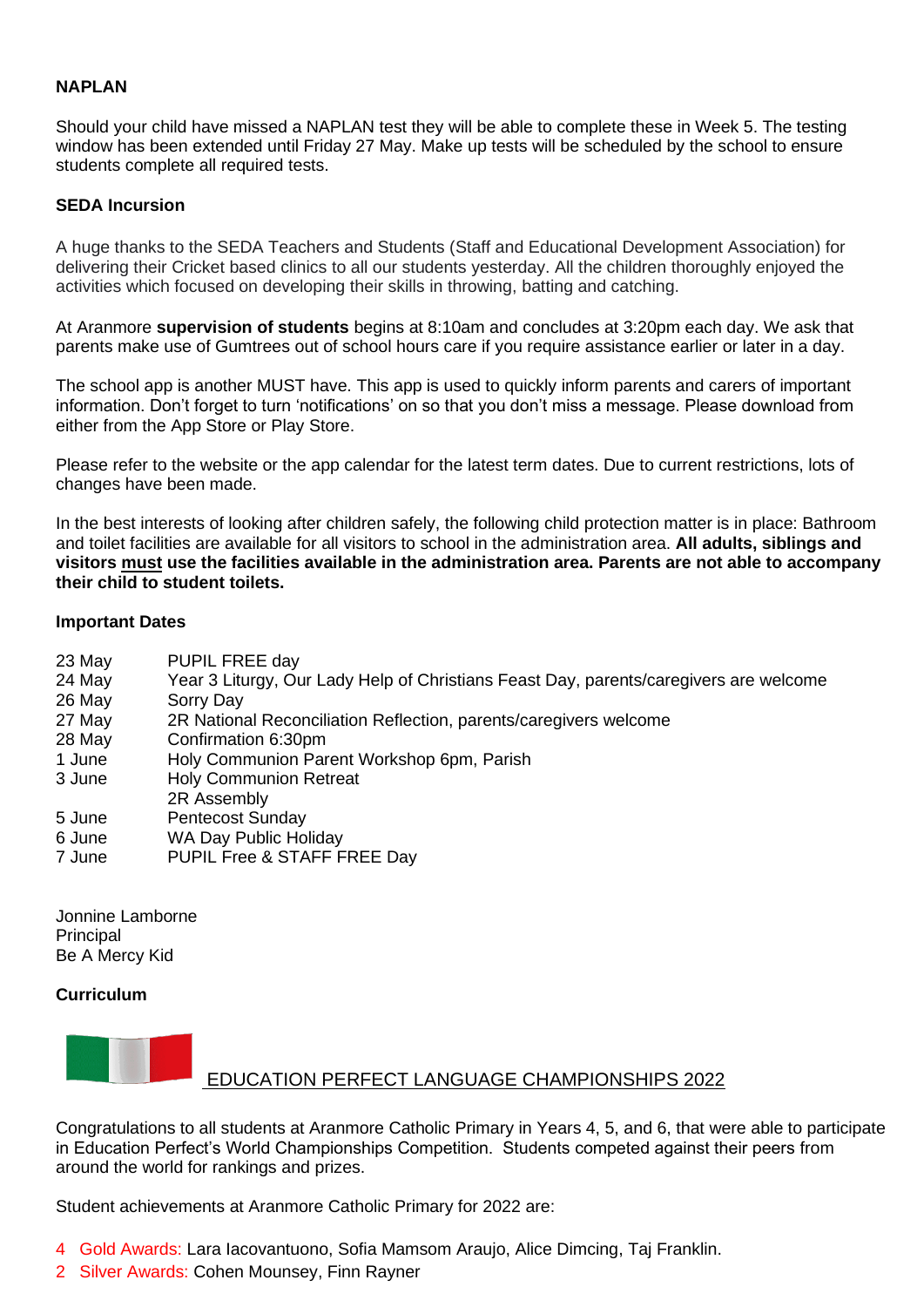## **NAPLAN**

Should your child have missed a NAPLAN test they will be able to complete these in Week 5. The testing window has been extended until Friday 27 May. Make up tests will be scheduled by the school to ensure students complete all required tests.

### **SEDA Incursion**

A huge thanks to the SEDA Teachers and Students (Staff and Educational Development Association) for delivering their Cricket based clinics to all our students yesterday. All the children thoroughly enjoyed the activities which focused on developing their skills in throwing, batting and catching.

At Aranmore **supervision of students** begins at 8:10am and concludes at 3:20pm each day. We ask that parents make use of Gumtrees out of school hours care if you require assistance earlier or later in a day.

The school app is another MUST have. This app is used to quickly inform parents and carers of important information. Don't forget to turn 'notifications' on so that you don't miss a message. Please download from either from the App Store or Play Store.

Please refer to the website or the app calendar for the latest term dates. Due to current restrictions, lots of changes have been made.

In the best interests of looking after children safely, the following child protection matter is in place: Bathroom and toilet facilities are available for all visitors to school in the administration area. **All adults, siblings and visitors must use the facilities available in the administration area. Parents are not able to accompany their child to student toilets.**

### **Important Dates**

- 23 May PUPIL FREE day
- 24 May Year 3 Liturgy, Our Lady Help of Christians Feast Day, parents/caregivers are welcome
- 26 May Sorry Day
- 27 May 2R National Reconciliation Reflection, parents/caregivers welcome
- 28 May Confirmation 6:30pm
- 1 June Holy Communion Parent Workshop 6pm, Parish
- 3 June Holy Communion Retreat
- 2R Assembly
- 5 June Pentecost Sunday
- 6 June WA Day Public Holiday
- 7 June PUPIL Free & STAFF FREE Day

Jonnine Lamborne **Principal** Be A Mercy Kid

## **Curriculum**



# EDUCATION PERFECT LANGUAGE CHAMPIONSHIPS 2022

Congratulations to all students at Aranmore Catholic Primary in Years 4, 5, and 6, that were able to participate in Education Perfect's World Championships Competition. Students competed against their peers from around the world for rankings and prizes.

Student achievements at Aranmore Catholic Primary for 2022 are:

- 4 Gold Awards: Lara Iacovantuono, Sofia Mamsom Araujo, Alice Dimcing, Taj Franklin.
- 2 Silver Awards: Cohen Mounsey, Finn Rayner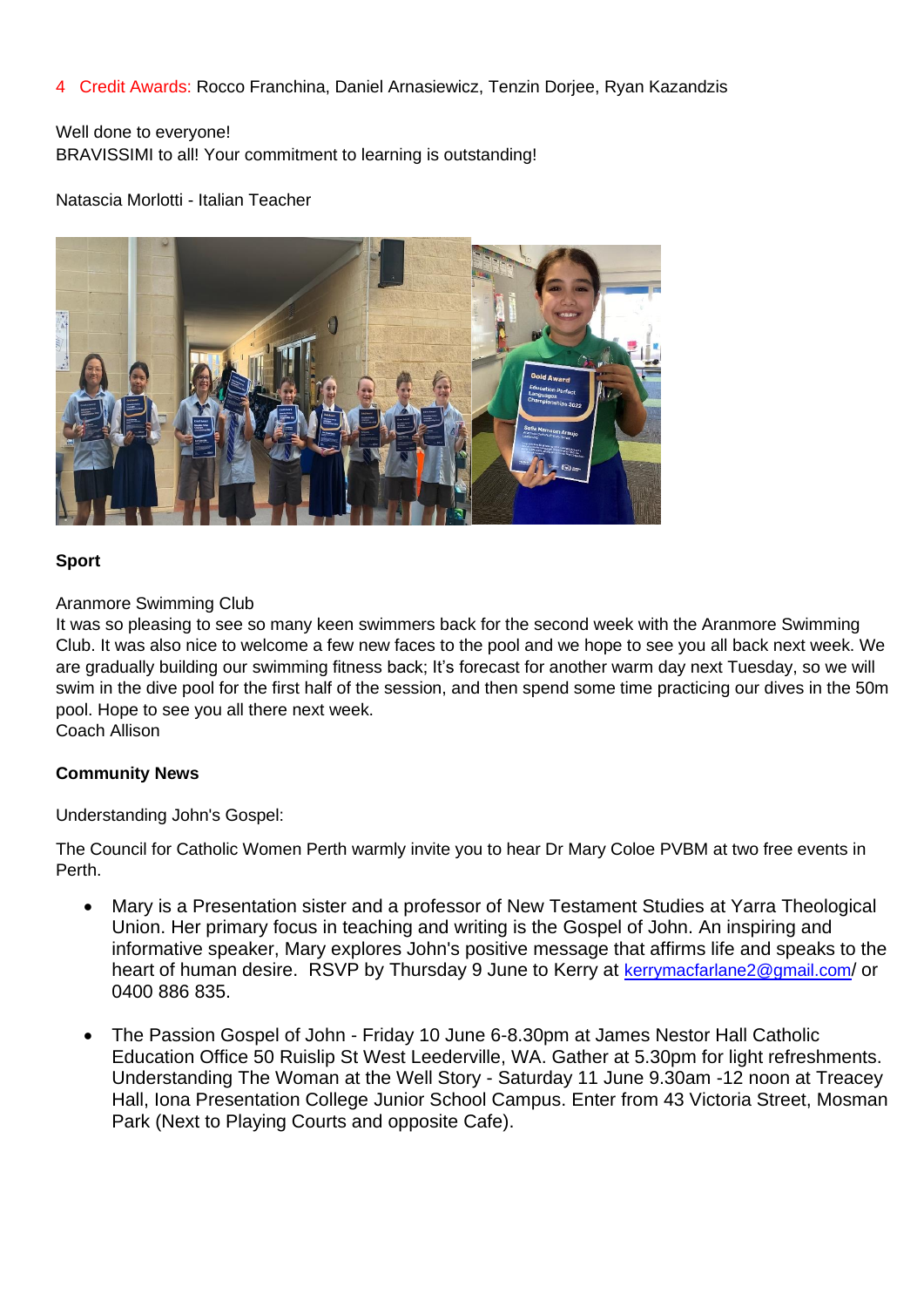# 4 Credit Awards: Rocco Franchina, Daniel Arnasiewicz, Tenzin Dorjee, Ryan Kazandzis

# Well done to everyone! BRAVISSIMI to all! Your commitment to learning is outstanding!

### Natascia Morlotti - Italian Teacher



### **Sport**

### Aranmore Swimming Club

It was so pleasing to see so many keen swimmers back for the second week with the Aranmore Swimming Club. It was also nice to welcome a few new faces to the pool and we hope to see you all back next week. We are gradually building our swimming fitness back; It's forecast for another warm day next Tuesday, so we will swim in the dive pool for the first half of the session, and then spend some time practicing our dives in the 50m pool. Hope to see you all there next week. Coach Allison

## **Community News**

Understanding John's Gospel:

The Council for Catholic Women Perth warmly invite you to hear Dr Mary Coloe PVBM at two free events in Perth.

- Mary is a Presentation sister and a professor of New Testament Studies at Yarra Theological Union. Her primary focus in teaching and writing is the Gospel of John. An inspiring and informative speaker, Mary explores John's positive message that affirms life and speaks to the heart of human desire. RSVP by Thursday 9 June to Kerry at kerrymacfarlane 2@gmail.com/ or 0400 886 835.
- The Passion Gospel of John Friday 10 June 6-8.30pm at James Nestor Hall Catholic Education Office 50 Ruislip St West Leederville, WA. Gather at 5.30pm for light refreshments. Understanding The Woman at the Well Story - Saturday 11 June 9.30am -12 noon at Treacey Hall, Iona Presentation College Junior School Campus. Enter from 43 Victoria Street, Mosman Park (Next to Playing Courts and opposite Cafe).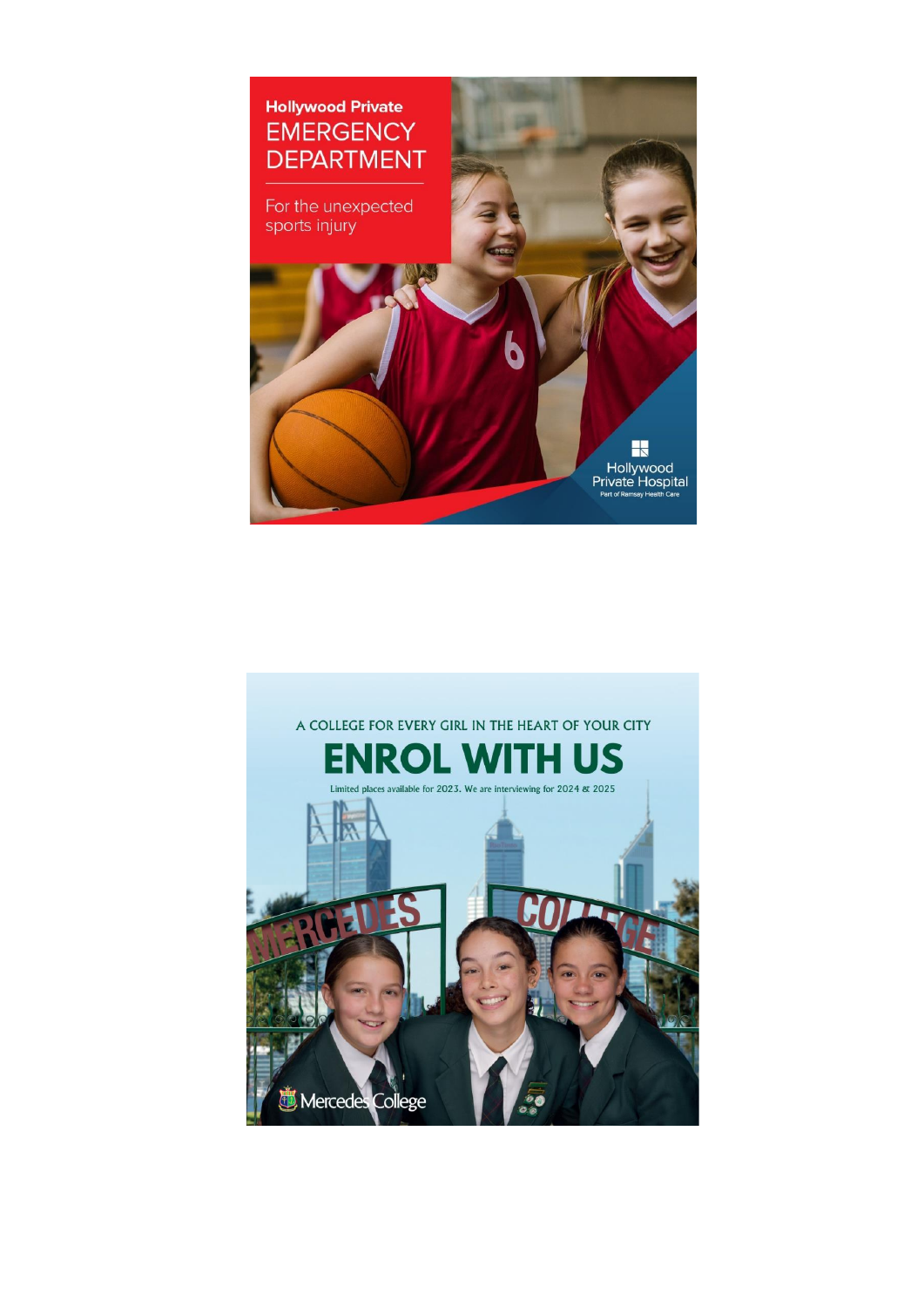